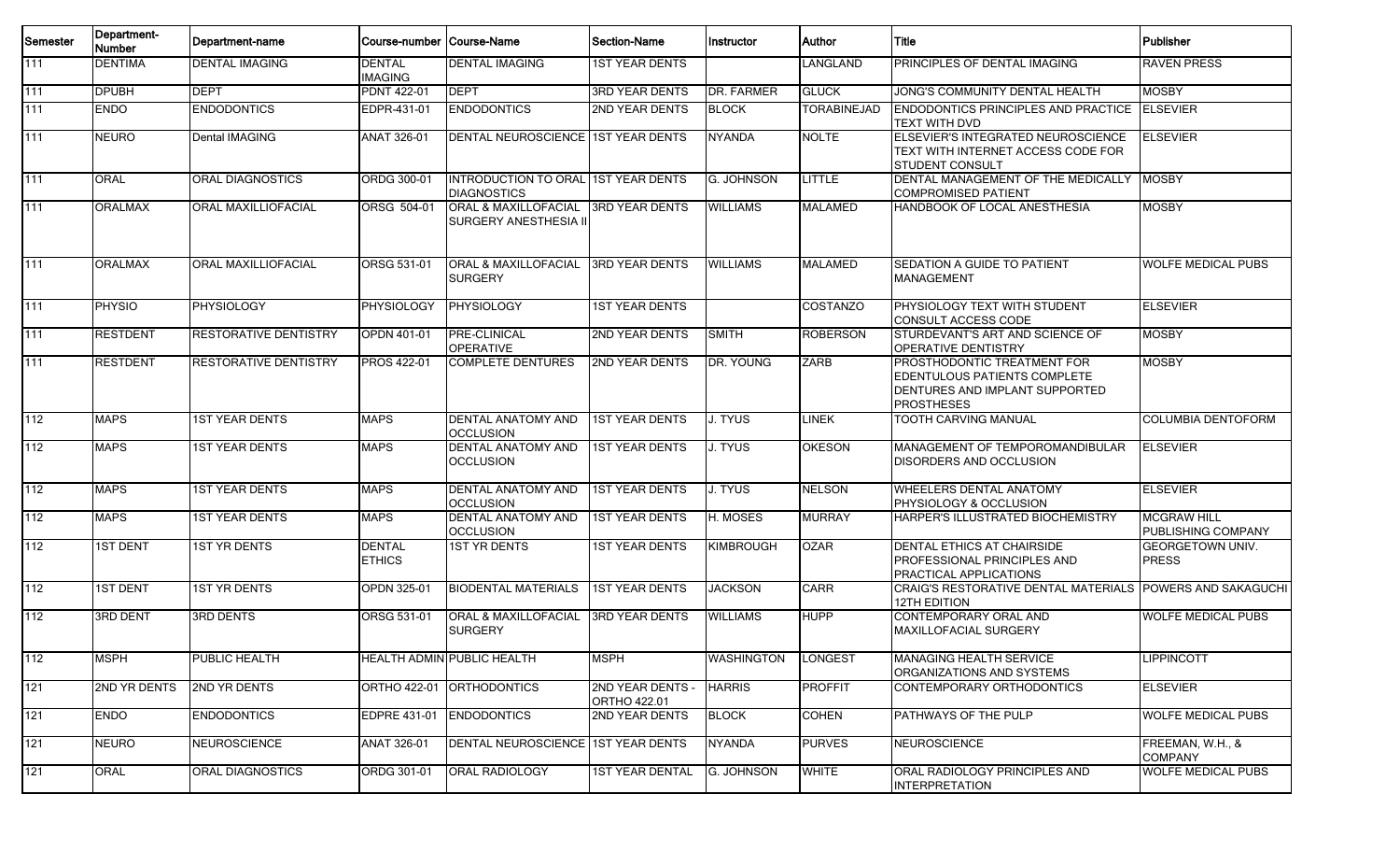| Semester | Department-<br><b>Number</b> | Department-name              | Course-number  Course-Name      |                                                                  | <b>Section-Name</b>                     | Instructor       | <b>Author</b>      | l Title                                                                                                            | Publisher                                       |
|----------|------------------------------|------------------------------|---------------------------------|------------------------------------------------------------------|-----------------------------------------|------------------|--------------------|--------------------------------------------------------------------------------------------------------------------|-------------------------------------------------|
| 111      | <b>DENTIMA</b>               | <b>DENTAL IMAGING</b>        | <b>DENTAL</b><br><b>IMAGING</b> | <b>DENTAL IMAGING</b>                                            | <b>1ST YEAR DENTS</b>                   |                  | LANGLAND           | <b>PRINCIPLES OF DENTAL IMAGING</b>                                                                                | <b>RAVEN PRESS</b>                              |
| 111      | <b>DPUBH</b>                 | <b>DEPT</b>                  | <b>PDNT 422-01</b>              | <b>DEPT</b>                                                      | <b>3RD YEAR DENTS</b>                   | DR. FARMER       | <b>GLUCK</b>       | JONG'S COMMUNITY DENTAL HEALTH                                                                                     | <b>MOSBY</b>                                    |
| 111      | <b>ENDO</b>                  | <b>ENDODONTICS</b>           | EDPR-431-01                     | <b>ENDODONTICS</b>                                               | 2ND YEAR DENTS                          | <b>BLOCK</b>     | <b>TORABINEJAD</b> | <b>ENDODONTICS PRINCIPLES AND PRACTICE ELSEVIER</b><br><b>TEXT WITH DVD</b>                                        |                                                 |
| 111      | <b>NEURO</b>                 | <b>Dental IMAGING</b>        | <b>ANAT 326-01</b>              | DENTAL NEUROSCIENCE 1ST YEAR DENTS                               |                                         | <b>NYANDA</b>    | <b>NOLTE</b>       | ELSEVIER'S INTEGRATED NEUROSCIENCE<br>TEXT WITH INTERNET ACCESS CODE FOR<br><b>STUDENT CONSULT</b>                 | <b>ELSEVIER</b>                                 |
| 111      | <b>ORAL</b>                  | <b>ORAL DIAGNOSTICS</b>      | ORDG 300-01                     | <b>INTRODUCTION TO ORAL 1ST YEAR DENTS</b><br><b>DIAGNOSTICS</b> |                                         | G. JOHNSON       | LITTLE             | DENTAL MANAGEMENT OF THE MEDICALLY<br><b>COMPROMISED PATIENT</b>                                                   | <b>MOSBY</b>                                    |
| 111      | <b>ORALMAX</b>               | ORAL MAXILLIOFACIAL          | ORSG 504-01                     | <b>ORAL &amp; MAXILLOFACIAL</b><br>SURGERY ANESTHESIA II         | <b>3RD YEAR DENTS</b>                   | <b>WILLIAMS</b>  | <b>MALAMED</b>     | HANDBOOK OF LOCAL ANESTHESIA                                                                                       | <b>MOSBY</b>                                    |
| 111      | <b>ORALMAX</b>               | <b>ORAL MAXILLIOFACIAL</b>   | <b>ORSG 531-01</b>              | <b>ORAL &amp; MAXILLOFACIAL</b><br><b>SURGERY</b>                | <b>3RD YEAR DENTS</b>                   | WILLIAMS         | <b>MALAMED</b>     | <b>ISEDATION A GUIDE TO PATIENT</b><br><b>MANAGEMENT</b>                                                           | <b>WOLFE MEDICAL PUBS</b>                       |
| 111      | <b>PHYSIO</b>                | <b>PHYSIOLOGY</b>            | PHYSIOLOGY                      | PHYSIOLOGY                                                       | <b>1ST YEAR DENTS</b>                   |                  | <b>COSTANZO</b>    | PHYSIOLOGY TEXT WITH STUDENT<br>CONSULT ACCESS CODE                                                                | <b>ELSEVIER</b>                                 |
| 111      | <b>RESTDENT</b>              | RESTORATIVE DENTISTRY        | <b>OPDN 401-01</b>              | <b>PRE-CLINICAL</b><br><b>OPERATIVE</b>                          | 2ND YEAR DENTS                          | <b>SMITH</b>     | <b>ROBERSON</b>    | STURDEVANT'S ART AND SCIENCE OF<br><b>OPERATIVE DENTISTRY</b>                                                      | <b>MOSBY</b>                                    |
| 111      | <b>RESTDENT</b>              | <b>RESTORATIVE DENTISTRY</b> | <b>PROS 422-01</b>              | <b>COMPLETE DENTURES</b>                                         | 2ND YEAR DENTS                          | DR. YOUNG        | ZARB               | PROSTHODONTIC TREATMENT FOR<br>EDENTULOUS PATIENTS COMPLETE<br>DENTURES AND IMPLANT SUPPORTED<br><b>PROSTHESES</b> | <b>MOSBY</b>                                    |
| 112      | <b>MAPS</b>                  | <b>1ST YEAR DENTS</b>        | <b>MAPS</b>                     | <b>DENTAL ANATOMY AND</b><br><b>OCCLUSION</b>                    | <b>1ST YEAR DENTS</b>                   | J. TYUS          | <b>LINEK</b>       | TOOTH CARVING MANUAL                                                                                               | <b>COLUMBIA DENTOFORM</b>                       |
| 112      | <b>MAPS</b>                  | <b>1ST YEAR DENTS</b>        | <b>MAPS</b>                     | <b>DENTAL ANATOMY AND</b><br><b>OCCLUSION</b>                    | <b>1ST YEAR DENTS</b>                   | <b>J. TYUS</b>   | <b>OKESON</b>      | MANAGEMENT OF TEMPOROMANDIBULAR<br>DISORDERS AND OCCLUSION                                                         | <b>ELSEVIER</b>                                 |
| 112      | <b>MAPS</b>                  | <b>1ST YEAR DENTS</b>        | <b>MAPS</b>                     | <b>DENTAL ANATOMY AND</b><br><b>OCCLUSION</b>                    | <b>1ST YEAR DENTS</b>                   | <b>J. TYUS</b>   | <b>NELSON</b>      | <b>WHEELERS DENTAL ANATOMY</b><br>PHYSIOLOGY & OCCLUSION                                                           | <b>ELSEVIER</b>                                 |
| 112      | <b>MAPS</b>                  | <b>1ST YEAR DENTS</b>        | <b>MAPS</b>                     | DENTAL ANATOMY AND<br><b>OCCLUSION</b>                           | <b>1ST YEAR DENTS</b>                   | H. MOSES         | <b>MURRAY</b>      | HARPER'S ILLUSTRATED BIOCHEMISTRY                                                                                  | <b>MCGRAW HILL</b><br><b>PUBLISHING COMPANY</b> |
| 112      | <b>1ST DENT</b>              | <b>1ST YR DENTS</b>          | <b>DENTAL</b><br><b>ETHICS</b>  | <b>1ST YR DENTS</b>                                              | <b>1ST YEAR DENTS</b>                   | <b>KIMBROUGH</b> | <b>OZAR</b>        | <b>DENTAL ETHICS AT CHAIRSIDE</b><br><b>PROFESSIONAL PRINCIPLES AND</b><br><b>PRACTICAL APPLICATIONS</b>           | <b>GEORGETOWN UNIV.</b><br><b>PRESS</b>         |
| 112      | <b>1ST DENT</b>              | <b>1ST YR DENTS</b>          | <b>OPDN 325-01</b>              | <b>BIODENTAL MATERIALS</b>                                       | <b>1ST YEAR DENTS</b>                   | <b>JACKSON</b>   | <b>CARR</b>        | CRAIG'S RESTORATIVE DENTAL MATERIALS POWERS AND SAKAGUCHI<br>12TH EDITION                                          |                                                 |
| 112      | 3RD DENT                     | <b>3RD DENTS</b>             | ORSG 531-01                     | <b>ORAL &amp; MAXILLOFACIAL</b><br><b>SURGERY</b>                | <b>3RD YEAR DENTS</b>                   | <b>WILLIAMS</b>  | <b>HUPP</b>        | CONTEMPORARY ORAL AND<br><b>MAXILLOFACIAL SURGERY</b>                                                              | <b>WOLFE MEDICAL PUBS</b>                       |
| 112      | <b>MSPH</b>                  | PUBLIC HEALTH                |                                 | <b>HEALTH ADMIN PUBLIC HEALTH</b>                                | <b>MSPH</b>                             | WASHINGTON       | LONGEST            | <b>MANAGING HEALTH SERVICE</b><br>ORGANIZATIONS AND SYSTEMS                                                        | LIPPINCOTT                                      |
| 121      | <b>2ND YR DENTS</b>          | 2ND YR DENTS                 |                                 | ORTHO 422-01 ORTHODONTICS                                        | <b>2ND YEAR DENTS -</b><br>ORTHO 422.01 | <b>HARRIS</b>    | <b>PROFFIT</b>     | CONTEMPORARY ORTHODONTICS                                                                                          | <b>ELSEVIER</b>                                 |
| 121      | <b>ENDO</b>                  | <b>ENDODONTICS</b>           |                                 | EDPRE 431-01 ENDODONTICS                                         | 2ND YEAR DENTS                          | <b>BLOCK</b>     | <b>COHEN</b>       | PATHWAYS OF THE PULP                                                                                               | <b>WOLFE MEDICAL PUBS</b>                       |
| 121      | <b>NEURO</b>                 | <b>NEUROSCIENCE</b>          | ANAT 326-01                     | DENTAL NEUROSCIENCE 1ST YEAR DENTS                               |                                         | <b>NYANDA</b>    | <b>PURVES</b>      | NEUROSCIENCE                                                                                                       | FREEMAN, W.H., &<br><b>COMPANY</b>              |
| $121$    | <b>ORAL</b>                  | ORAL DIAGNOSTICS             | ORDG 301-01                     | ORAL RADIOLOGY                                                   | <b>1ST YEAR DENTAL</b>                  | G. JOHNSON       | <b>WHITE</b>       | ORAL RADIOLOGY PRINCIPLES AND<br><b>INTERPRETATION</b>                                                             | <b>WOLFE MEDICAL PUBS</b>                       |